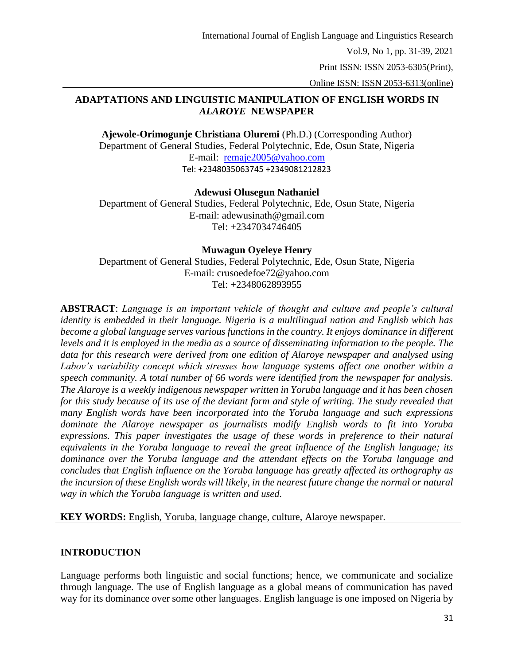Print ISSN: ISSN 2053-6305(Print),

Online ISSN: ISSN 2053-6313(online)

# **ADAPTATIONS AND LINGUISTIC MANIPULATION OF ENGLISH WORDS IN**  *ALAROYE* **NEWSPAPER**

**Ajewole-Orimogunje Christiana Oluremi** (Ph.D.) (Corresponding Author) Department of General Studies, Federal Polytechnic, Ede, Osun State, Nigeria E-mail: [remaje2005@yahoo.com](mailto:remaje2005@yahoo.com) Tel: +2348035063745 +2349081212823

# **Adewusi Olusegun Nathaniel**

Department of General Studies, Federal Polytechnic, Ede, Osun State, Nigeria E-mail: adewusinath@gmail.com Tel: +2347034746405

## **Muwagun Oyeleye Henry** Department of General Studies, Federal Polytechnic, Ede, Osun State, Nigeria E-mail: crusoedefoe72@yahoo.com Tel: +2348062893955

**ABSTRACT**: *Language is an important vehicle of thought and culture and people's cultural identity is embedded in their language. Nigeria is a multilingual nation and English which has become a global language serves various functions in the country. It enjoys dominance in different levels and it is employed in the media as a source of disseminating information to the people. The data for this research were derived from one edition of Alaroye newspaper and analysed using Labov's variability concept which stresses how language systems affect one another within a speech community. A total number of 66 words were identified from the newspaper for analysis. The Alaroye is a weekly indigenous newspaper written in Yoruba language and it has been chosen for this study because of its use of the deviant form and style of writing. The study revealed that many English words have been incorporated into the Yoruba language and such expressions dominate the Alaroye newspaper as journalists modify English words to fit into Yoruba expressions. This paper investigates the usage of these words in preference to their natural equivalents in the Yoruba language to reveal the great influence of the English language; its dominance over the Yoruba language and the attendant effects on the Yoruba language and concludes that English influence on the Yoruba language has greatly affected its orthography as the incursion of these English words will likely, in the nearest future change the normal or natural way in which the Yoruba language is written and used.*

**KEY WORDS:** English, Yoruba, language change, culture, Alaroye newspaper.

# **INTRODUCTION**

Language performs both linguistic and social functions; hence, we communicate and socialize through language. The use of English language as a global means of communication has paved way for its dominance over some other languages. English language is one imposed on Nigeria by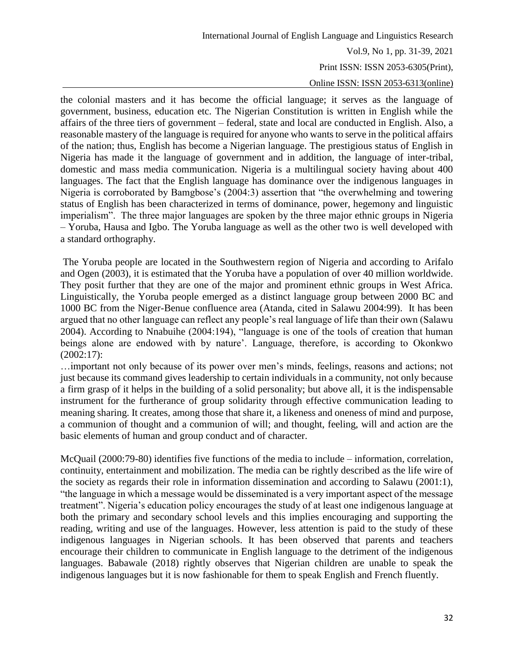#### Online ISSN: ISSN 2053-6313(online)

the colonial masters and it has become the official language; it serves as the language of government, business, education etc. The Nigerian Constitution is written in English while the affairs of the three tiers of government – federal, state and local are conducted in English. Also, a reasonable mastery of the language is required for anyone who wants to serve in the political affairs of the nation; thus, English has become a Nigerian language. The prestigious status of English in Nigeria has made it the language of government and in addition, the language of inter-tribal, domestic and mass media communication. Nigeria is a multilingual society having about 400 languages. The fact that the English language has dominance over the indigenous languages in Nigeria is corroborated by Bamgbose's (2004:3) assertion that "the overwhelming and towering status of English has been characterized in terms of dominance, power, hegemony and linguistic imperialism". The three major languages are spoken by the three major ethnic groups in Nigeria – Yoruba, Hausa and Igbo. The Yoruba language as well as the other two is well developed with a standard orthography.

The Yoruba people are located in the Southwestern region of Nigeria and according to Arifalo and Ogen (2003), it is estimated that the Yoruba have a population of over 40 million worldwide. They posit further that they are one of the major and prominent ethnic groups in West Africa. Linguistically, the Yoruba people emerged as a distinct language group between 2000 BC and 1000 BC from the Niger-Benue confluence area (Atanda, cited in Salawu 2004:99). It has been argued that no other language can reflect any people's real language of life than their own (Salawu 2004). According to Nnabuihe (2004:194), "language is one of the tools of creation that human beings alone are endowed with by nature'. Language, therefore, is according to Okonkwo (2002:17):

…important not only because of its power over men's minds, feelings, reasons and actions; not just because its command gives leadership to certain individuals in a community, not only because a firm grasp of it helps in the building of a solid personality; but above all, it is the indispensable instrument for the furtherance of group solidarity through effective communication leading to meaning sharing. It creates, among those that share it, a likeness and oneness of mind and purpose, a communion of thought and a communion of will; and thought, feeling, will and action are the basic elements of human and group conduct and of character.

McQuail (2000:79-80) identifies five functions of the media to include – information, correlation, continuity, entertainment and mobilization. The media can be rightly described as the life wire of the society as regards their role in information dissemination and according to Salawu (2001:1), "the language in which a message would be disseminated is a very important aspect of the message treatment". Nigeria's education policy encourages the study of at least one indigenous language at both the primary and secondary school levels and this implies encouraging and supporting the reading, writing and use of the languages. However, less attention is paid to the study of these indigenous languages in Nigerian schools. It has been observed that parents and teachers encourage their children to communicate in English language to the detriment of the indigenous languages. Babawale (2018) rightly observes that Nigerian children are unable to speak the indigenous languages but it is now fashionable for them to speak English and French fluently.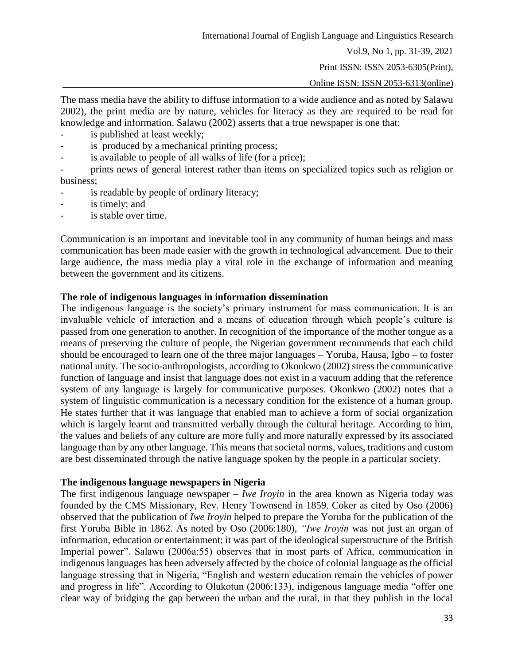Vol.9, No 1, pp. 31-39, 2021

Print ISSN: ISSN 2053-6305(Print),

Online ISSN: ISSN 2053-6313(online)

The mass media have the ability to diffuse information to a wide audience and as noted by Salawu 2002), the print media are by nature, vehicles for literacy as they are required to be read for knowledge and information. Salawu (2002) asserts that a true newspaper is one that:

- is published at least weekly;
- is produced by a mechanical printing process;
- is available to people of all walks of life (for a price);

- prints news of general interest rather than items on specialized topics such as religion or business;

- is readable by people of ordinary literacy;
- is timely; and
- is stable over time.

Communication is an important and inevitable tool in any community of human beings and mass communication has been made easier with the growth in technological advancement. Due to their large audience, the mass media play a vital role in the exchange of information and meaning between the government and its citizens.

## **The role of indigenous languages in information dissemination**

The indigenous language is the society's primary instrument for mass communication. It is an invaluable vehicle of interaction and a means of education through which people's culture is passed from one generation to another. In recognition of the importance of the mother tongue as a means of preserving the culture of people, the Nigerian government recommends that each child should be encouraged to learn one of the three major languages – Yoruba, Hausa, Igbo – to foster national unity. The socio-anthropologists, according to Okonkwo (2002) stress the communicative function of language and insist that language does not exist in a vacuum adding that the reference system of any language is largely for communicative purposes. Okonkwo (2002) notes that a system of linguistic communication is a necessary condition for the existence of a human group. He states further that it was language that enabled man to achieve a form of social organization which is largely learnt and transmitted verbally through the cultural heritage. According to him, the values and beliefs of any culture are more fully and more naturally expressed by its associated language than by any other language. This means that societal norms, values, traditions and custom are best disseminated through the native language spoken by the people in a particular society.

### **The indigenous language newspapers in Nigeria**

The first indigenous language newspaper – *Iwe Iroyin* in the area known as Nigeria today was founded by the CMS Missionary, Rev. Henry Townsend in 1859. Coker as cited by Oso (2006) observed that the publication of *Iwe Iroyin* helped to prepare the Yoruba for the publication of the first Yoruba Bible in 1862. As noted by Oso (2006:180), *"Iwe Iroyin* was not just an organ of information, education or entertainment; it was part of the ideological superstructure of the British Imperial power". Salawu (2006a:55) observes that in most parts of Africa, communication in indigenous languages has been adversely affected by the choice of colonial language as the official language stressing that in Nigeria, "English and western education remain the vehicles of power and progress in life". According to Olukotun (2006:133), indigenous language media "offer one clear way of bridging the gap between the urban and the rural, in that they publish in the local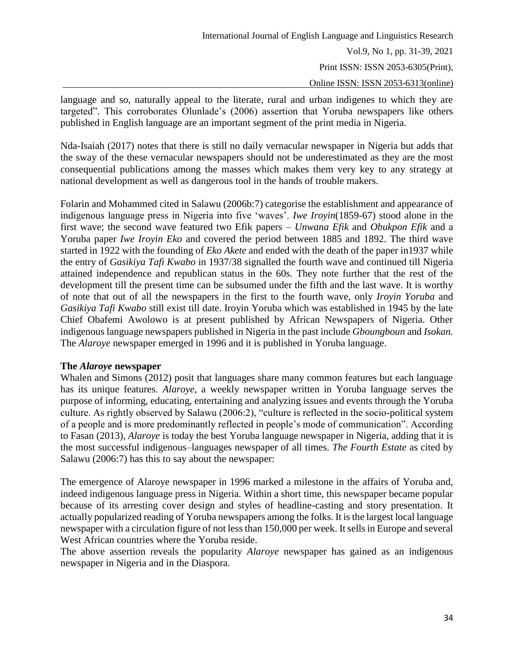language and so, naturally appeal to the literate, rural and urban indigenes to which they are targeted". This corroborates Olunlade's (2006) assertion that Yoruba newspapers like others published in English language are an important segment of the print media in Nigeria.

Nda-Isaiah (2017) notes that there is still no daily vernacular newspaper in Nigeria but adds that the sway of the these vernacular newspapers should not be underestimated as they are the most consequential publications among the masses which makes them very key to any strategy at national development as well as dangerous tool in the hands of trouble makers.

Folarin and Mohammed cited in Salawu (2006b:7) categorise the establishment and appearance of indigenous language press in Nigeria into five 'waves'. *Iwe Iroyin*(1859-67) stood alone in the first wave; the second wave featured two Efik papers – *Unwana Efik* and *Obukpon Efik* and a Yoruba paper *Iwe Iroyin Eko* and covered the period between 1885 and 1892. The third wave started in 1922 with the founding of *Eko Akete* and ended with the death of the paper in1937 while the entry of *Gasikiya Tafi Kwabo* in 1937/38 signalled the fourth wave and continued till Nigeria attained independence and republican status in the 60s. They note further that the rest of the development till the present time can be subsumed under the fifth and the last wave. It is worthy of note that out of all the newspapers in the first to the fourth wave, only *Iroyin Yoruba* and *Gasikiya Tafi Kwabo* still exist till date. Iroyin Yoruba which was established in 1945 by the late Chief Obafemi Awolowo is at present published by African Newspapers of Nigeria. Other indigenous language newspapers published in Nigeria in the past include *Gboungboun* and *Isokan.* The *Alaroye* newspaper emerged in 1996 and it is published in Yoruba language.

### **The** *Alaroye* **newspaper**

Whalen and Simons (2012) posit that languages share many common features but each language has its unique features. *Alaroye,* a weekly newspaper written in Yoruba language serves the purpose of informing, educating, entertaining and analyzing issues and events through the Yoruba culture. As rightly observed by Salawu (2006:2), "culture is reflected in the socio-political system of a people and is more predominantly reflected in people's mode of communication". According to Fasan (2013), *Alaroye* is today the best Yoruba language newspaper in Nigeria, adding that it is the most successful indigenous–languages newspaper of all times. *The Fourth Estate* as cited by Salawu (2006:7) has this to say about the newspaper:

The emergence of Alaroye newspaper in 1996 marked a milestone in the affairs of Yoruba and, indeed indigenous language press in Nigeria. Within a short time, this newspaper became popular because of its arresting cover design and styles of headline-casting and story presentation. It actually popularized reading of Yoruba newspapers among the folks. It is the largest local language newspaper with a circulation figure of not less than 150,000 per week. It sells in Europe and several West African countries where the Yoruba reside.

The above assertion reveals the popularity *Alaroye* newspaper has gained as an indigenous newspaper in Nigeria and in the Diaspora.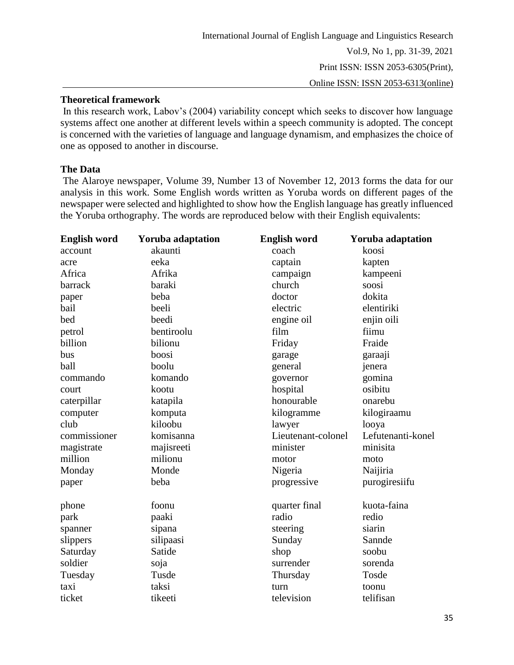## **Theoretical framework**

In this research work, Labov's (2004) variability concept which seeks to discover how language systems affect one another at different levels within a speech community is adopted. The concept is concerned with the varieties of language and language dynamism, and emphasizes the choice of one as opposed to another in discourse.

### **The Data**

The Alaroye newspaper, Volume 39, Number 13 of November 12, 2013 forms the data for our analysis in this work. Some English words written as Yoruba words on different pages of the newspaper were selected and highlighted to show how the English language has greatly influenced the Yoruba orthography. The words are reproduced below with their English equivalents:

| <b>English word</b> | <b>Yoruba adaptation</b> | <b>English word</b> | <b>Yoruba adaptation</b> |
|---------------------|--------------------------|---------------------|--------------------------|
| account             | akaunti                  | coach               | koosi                    |
| acre                | eeka                     | captain             | kapten                   |
| Africa              | Afrika                   | campaign            | kampeeni                 |
| barrack             | baraki                   | church              | soosi                    |
| paper               | beba                     | doctor              | dokita                   |
| bail                | beeli                    | electric            | elentiriki               |
| bed                 | beedi                    | engine oil          | enjin oili               |
| petrol              | bentiroolu               | film                | fiimu                    |
| billion             | bilionu                  | Friday              | Fraide                   |
| bus                 | boosi                    | garage              | garaaji                  |
| ball                | boolu                    | general             | jenera                   |
| commando            | komando                  | governor            | gomina                   |
| court               | kootu                    | hospital            | osibitu                  |
| caterpillar         | katapila                 | honourable          | onarebu                  |
| computer            | komputa                  | kilogramme          | kilogiraamu              |
| club                | kiloobu                  | lawyer              | looya                    |
| commissioner        | komisanna                | Lieutenant-colonel  | Lefutenanti-konel        |
| magistrate          | majisreeti               | minister            | minisita                 |
| million             | milionu                  | motor               | moto                     |
| Monday              | Monde                    | Nigeria             | Naijiria                 |
| paper               | beba                     | progressive         | purogiresiifu            |
| phone               | foonu                    | quarter final       | kuota-faina              |
| park                | paaki                    | radio               | redio                    |
| spanner             | sipana                   | steering            | siarin                   |
| slippers            | silipaasi                | Sunday              | Sannde                   |
| Saturday            | Satide                   | shop                | soobu                    |
| soldier             | soja                     | surrender           | sorenda                  |
| Tuesday             | Tusde                    | Thursday            | Tosde                    |
| taxi                | taksi                    | turn                | toonu                    |
| ticket              | tikeeti                  | television          | telifisan                |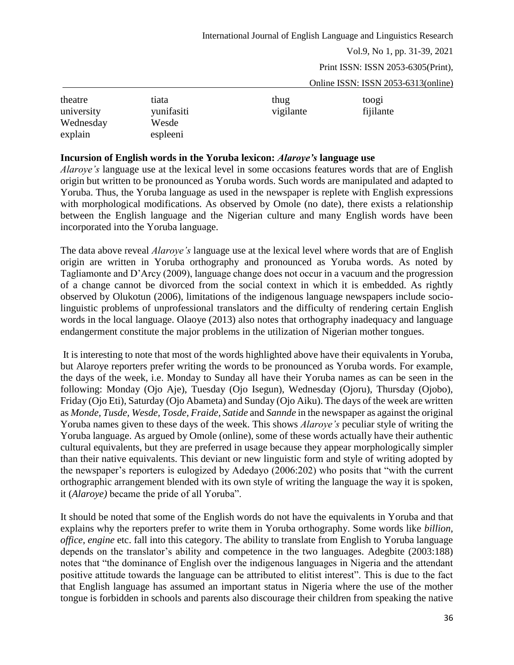Vol.9, No 1, pp. 31-39, 2021

Print ISSN: ISSN 2053-6305(Print),

Online ISSN: ISSN 2053-6313(online)

| theatre              | tiata             | thug      | toog <sub>1</sub> |
|----------------------|-------------------|-----------|-------------------|
| university           | yunifasiti        | vigilante | fijilante         |
| Wednesday<br>explain | Wesde<br>espleeni |           |                   |

#### **Incursion of English words in the Yoruba lexicon:** *Alaroye's* **language use**

*Alaroye's* language use at the lexical level in some occasions features words that are of English origin but written to be pronounced as Yoruba words. Such words are manipulated and adapted to Yoruba. Thus, the Yoruba language as used in the newspaper is replete with English expressions with morphological modifications. As observed by Omole (no date), there exists a relationship between the English language and the Nigerian culture and many English words have been incorporated into the Yoruba language.

The data above reveal *Alaroye's* language use at the lexical level where words that are of English origin are written in Yoruba orthography and pronounced as Yoruba words. As noted by Tagliamonte and D'Arcy (2009), language change does not occur in a vacuum and the progression of a change cannot be divorced from the social context in which it is embedded. As rightly observed by Olukotun (2006), limitations of the indigenous language newspapers include sociolinguistic problems of unprofessional translators and the difficulty of rendering certain English words in the local language. Olaoye (2013) also notes that orthography inadequacy and language endangerment constitute the major problems in the utilization of Nigerian mother tongues.

It is interesting to note that most of the words highlighted above have their equivalents in Yoruba, but Alaroye reporters prefer writing the words to be pronounced as Yoruba words. For example, the days of the week, i.e. Monday to Sunday all have their Yoruba names as can be seen in the following: Monday (Ojo Aje), Tuesday (Ojo Isegun), Wednesday (Ojoru), Thursday (Ojobo), Friday (Ojo Eti), Saturday (Ojo Abameta) and Sunday (Ojo Aiku). The days of the week are written as *Monde, Tusde, Wesde, Tosde, Fraide, Satide* and *Sannde* in the newspaper as against the original Yoruba names given to these days of the week. This shows *Alaroye's* peculiar style of writing the Yoruba language. As argued by Omole (online), some of these words actually have their authentic cultural equivalents, but they are preferred in usage because they appear morphologically simpler than their native equivalents. This deviant or new linguistic form and style of writing adopted by the newspaper's reporters is eulogized by Adedayo (2006:202) who posits that "with the current orthographic arrangement blended with its own style of writing the language the way it is spoken, it (*Alaroye)* became the pride of all Yoruba".

It should be noted that some of the English words do not have the equivalents in Yoruba and that explains why the reporters prefer to write them in Yoruba orthography. Some words like *billion*, *office, engine* etc. fall into this category. The ability to translate from English to Yoruba language depends on the translator's ability and competence in the two languages. Adegbite (2003:188) notes that "the dominance of English over the indigenous languages in Nigeria and the attendant positive attitude towards the language can be attributed to elitist interest". This is due to the fact that English language has assumed an important status in Nigeria where the use of the mother tongue is forbidden in schools and parents also discourage their children from speaking the native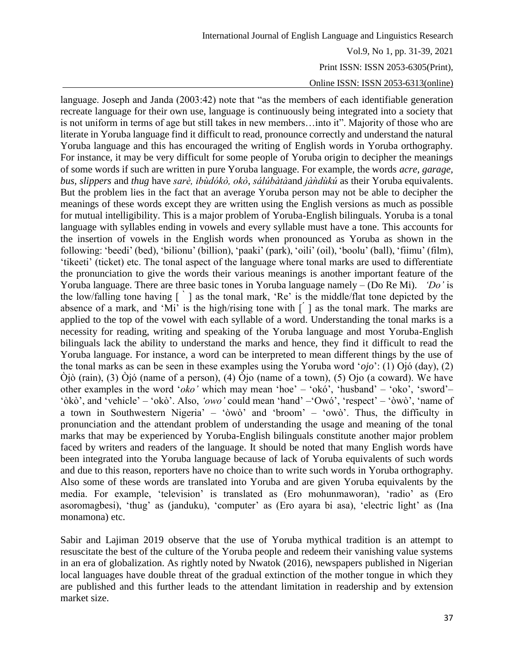Print ISSN: ISSN 2053-6305(Print),

Online ISSN: ISSN 2053-6313(online)

language. Joseph and Janda (2003:42) note that "as the members of each identifiable generation recreate language for their own use, language is continuously being integrated into a society that is not uniform in terms of age but still takes in new members…into it". Majority of those who are literate in Yoruba language find it difficult to read, pronounce correctly and understand the natural Yoruba language and this has encouraged the writing of English words in Yoruba orthography. For instance, it may be very difficult for some people of Yoruba origin to decipher the meanings of some words if such are written in pure Yoruba language. For example, the words *acre, garage, bus, slippers* and *thug* have *sarè, ibùdókò, okò*, *sálúbàtà*and *jàǹdùkú* as their Yoruba equivalents. But the problem lies in the fact that an average Yoruba person may not be able to decipher the meanings of these words except they are written using the English versions as much as possible for mutual intelligibility. This is a major problem of Yoruba-English bilinguals. Yoruba is a tonal language with syllables ending in vowels and every syllable must have a tone. This accounts for the insertion of vowels in the English words when pronounced as Yoruba as shown in the following: 'beedi' (bed), 'bilionu' (billion), 'paaki' (park), 'oili' (oil), 'boolu' (ball), 'fiimu' (film), 'tikeeti' (ticket) etc. The tonal aspect of the language where tonal marks are used to differentiate the pronunciation to give the words their various meanings is another important feature of the Yoruba language. There are three basic tones in Yoruba language namely – (Do Re Mi). *'Do'* is the low/falling tone having [ ̀ ] as the tonal mark, 'Re' is the middle/flat tone depicted by the absence of a mark, and 'Mi' is the high/rising tone with [  $\prime$  ] as the tonal mark. The marks are applied to the top of the vowel with each syllable of a word. Understanding the tonal marks is a necessity for reading, writing and speaking of the Yoruba language and most Yoruba-English bilinguals lack the ability to understand the marks and hence, they find it difficult to read the Yoruba language. For instance, a word can be interpreted to mean different things by the use of the tonal marks as can be seen in these examples using the Yoruba word '*ojo*': (1) Ojó (day), (2) Òjò (rain), (3) Òjó (name of a person), (4) Òjo (name of a town), (5) Ojo (a coward). We have other examples in the word '*oko'* which may mean 'hoe' – 'okó', 'husband' – 'oko', 'sword'– 'òkò', and 'vehicle' – 'okò'. Also, *'owo'* could mean 'hand' –'Owó', 'respect' – 'òwò', 'name of a town in Southwestern Nigeria' – 'òwò' and 'broom' – 'owò'. Thus, the difficulty in pronunciation and the attendant problem of understanding the usage and meaning of the tonal marks that may be experienced by Yoruba-English bilinguals constitute another major problem faced by writers and readers of the language. It should be noted that many English words have been integrated into the Yoruba language because of lack of Yoruba equivalents of such words and due to this reason, reporters have no choice than to write such words in Yoruba orthography. Also some of these words are translated into Yoruba and are given Yoruba equivalents by the media. For example, 'television' is translated as (Ero mohunmaworan), 'radio' as (Ero asoromagbesi), 'thug' as (janduku), 'computer' as (Ero ayara bi asa), 'electric light' as (Ina monamona) etc.

Sabir and Lajiman 2019 observe that the use of Yoruba mythical tradition is an attempt to resuscitate the best of the culture of the Yoruba people and redeem their vanishing value systems in an era of globalization. As rightly noted by Nwatok (2016), newspapers published in Nigerian local languages have double threat of the gradual extinction of the mother tongue in which they are published and this further leads to the attendant limitation in readership and by extension market size.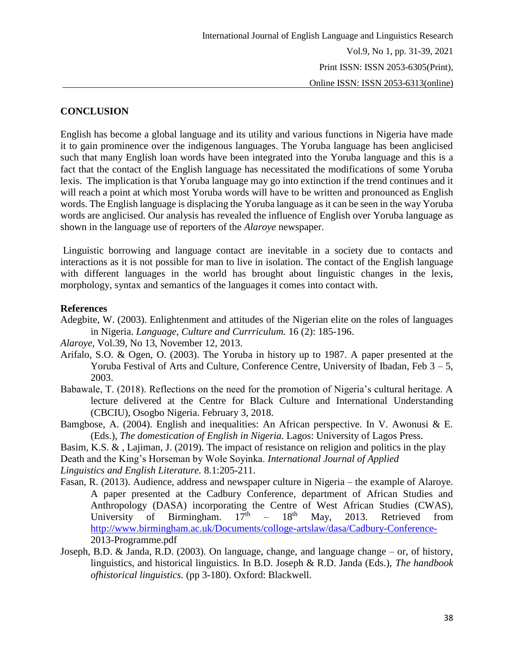# **CONCLUSION**

English has become a global language and its utility and various functions in Nigeria have made it to gain prominence over the indigenous languages. The Yoruba language has been anglicised such that many English loan words have been integrated into the Yoruba language and this is a fact that the contact of the English language has necessitated the modifications of some Yoruba lexis. The implication is that Yoruba language may go into extinction if the trend continues and it will reach a point at which most Yoruba words will have to be written and pronounced as English words. The English language is displacing the Yoruba language as it can be seen in the way Yoruba words are anglicised. Our analysis has revealed the influence of English over Yoruba language as shown in the language use of reporters of the *Alaroye* newspaper.

Linguistic borrowing and language contact are inevitable in a society due to contacts and interactions as it is not possible for man to live in isolation. The contact of the English language with different languages in the world has brought about linguistic changes in the lexis, morphology, syntax and semantics of the languages it comes into contact with.

#### **References**

- Adegbite, W. (2003). Enlightenment and attitudes of the Nigerian elite on the roles of languages in Nigeria. *Language, Culture and Currriculum.* 16 (2): 185-196.
- *Alaroye*, Vol.39, No 13, November 12, 2013.
- Arifalo, S.O. & Ogen, O. (2003). The Yoruba in history up to 1987. A paper presented at the Yoruba Festival of Arts and Culture, Conference Centre, University of Ibadan, Feb  $3 - 5$ , 2003.
- Babawale, T. (2018). Reflections on the need for the promotion of Nigeria's cultural heritage. A lecture delivered at the Centre for Black Culture and International Understanding (CBCIU), Osogbo Nigeria. February 3, 2018.
- Bamgbose, A. (2004). English and inequalities: An African perspective. In V. Awonusi & E. (Eds.), *The domestication of English in Nigeria.* Lagos: University of Lagos Press.
- Basim, K.S. & , Lajiman, J. (2019). The impact of resistance on religion and politics in the play Death and the King's Horseman by Wole Soyinka. *International Journal of Applied Linguistics and English Literature.* 8.1:205-211.
- Fasan, R. (2013). Audience, address and newspaper culture in Nigeria the example of Alaroye. A paper presented at the Cadbury Conference, department of African Studies and Anthropology (DASA) incorporating the Centre of West African Studies (CWAS), University of Birmingham.  $17<sup>th</sup> - 18<sup>th</sup>$  May. 2013. Retrieved from University of Birmingham.  $18<sup>th</sup>$  May, 2013. Retrieved from <http://www.birmingham.ac.uk/Documents/colloge-artslaw/dasa/Cadbury-Conference->2013-Programme.pdf
- Joseph, B.D. & Janda, R.D. (2003). On language, change, and language change or, of history, linguistics, and historical linguistics. In B.D. Joseph & R.D. Janda (Eds.), *The handbook ofhistorical linguistics.* (pp 3-180). Oxford: Blackwell.